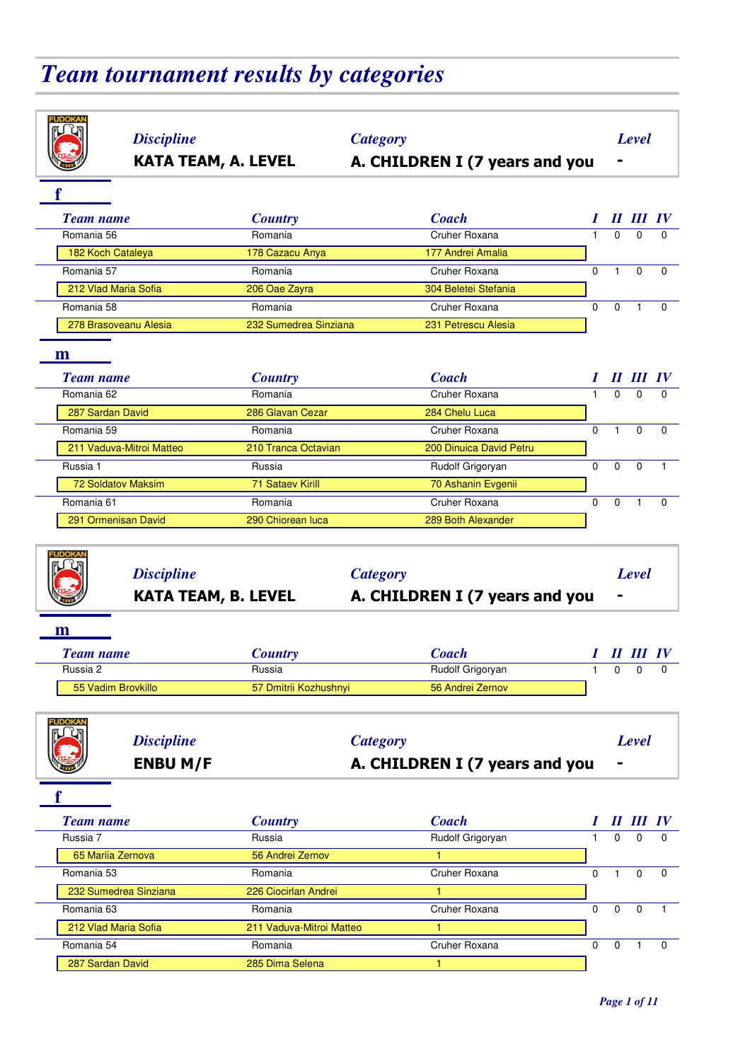# *Team tournament results by categories*

| <b>Discipline</b><br><b>KATA TEAM, A. LEVEL</b> |                          | <b>Category</b><br>A. CHILDREN I (7 years and you |              |              | Level        |                 |
|-------------------------------------------------|--------------------------|---------------------------------------------------|--------------|--------------|--------------|-----------------|
|                                                 |                          |                                                   |              |              |              |                 |
| <b>Team name</b>                                | <b>Country</b>           | <b>Coach</b>                                      |              |              | II III IV    |                 |
| Romania 56                                      | Romania                  | Cruher Roxana                                     | $\mathbf{1}$ | 0            | $\Omega$     | $\Omega$        |
| 182 Koch Cataleya                               | 178 Cazacu Anya          | 177 Andrei Amalia                                 |              |              |              |                 |
| Romania 57                                      | Romania                  | Cruher Roxana                                     | $\Omega$     | $\mathbf{1}$ | 0            | 0               |
| 212 Vlad Maria Sofia                            | 206 Oae Zayra            | 304 Beletei Stefania                              |              |              |              |                 |
| Romania 58                                      | Romania                  | Cruher Roxana                                     | $\Omega$     | $\mathbf 0$  | $\mathbf{1}$ | $\Omega$        |
| 278 Brasoveanu Alesia                           | 232 Sumedrea Sinziana    | 231 Petrescu Alesia                               |              |              |              |                 |
|                                                 |                          |                                                   |              |              |              |                 |
| $\mathbf{m}$<br><b>Team name</b>                | <b>Country</b>           | <b>Coach</b>                                      |              |              | II III IV    |                 |
| Romania 62                                      | Romania                  | Cruher Roxana                                     | $\mathbf{1}$ | $\Omega$     | $\Omega$     | $\Omega$        |
| 287 Sardan David                                | 286 Glavan Cezar         | 284 Chelu Luca                                    |              |              |              |                 |
| Romania 59                                      | Romania                  | Cruher Roxana                                     | $\Omega$     | $\mathbf{1}$ | $\Omega$     | 0               |
| 211 Vaduva-Mitroi Matteo                        | 210 Tranca Octavian      | 200 Dinuica David Petru                           |              |              |              |                 |
| Russia 1                                        | Russia                   | Rudolf Grigoryan                                  | $\Omega$     | $\Omega$     | $\mathbf 0$  |                 |
| <b>72 Soldatov Maksim</b>                       | 71 Sataev Kirill         | 70 Ashanin Evgenii                                |              |              |              |                 |
| Romania 61                                      | Romania                  | Cruher Roxana                                     | $\mathbf{0}$ | $\mathbf 0$  | $\mathbf{1}$ | $\Omega$        |
| 291 Ormenisan David                             | 290 Chiorean luca        | 289 Both Alexander                                |              |              |              |                 |
| <b>Discipline</b><br><b>KATA TEAM, B. LEVEL</b> |                          | <b>Category</b><br>A. CHILDREN I (7 years and you |              |              | Level        |                 |
| m                                               |                          |                                                   |              |              |              |                 |
| <b>Team name</b>                                | <b>Country</b>           | <b>Coach</b>                                      |              |              | II III IV    |                 |
| Russia 2                                        | Russia                   | Rudolf Grigoryan                                  | $\mathbf{1}$ | $\Omega$     | 0            | 0               |
| 55 Vadim Brovkillo                              |                          |                                                   |              |              |              |                 |
|                                                 | 57 Dmitrii Kozhushnyi    | 56 Andrei Zernov                                  |              |              |              |                 |
| <b>Discipline</b><br><b>ENBU M/F</b>            |                          | <b>Category</b><br>A. CHILDREN I (7 years and you |              |              | <b>Level</b> |                 |
|                                                 |                          |                                                   |              |              |              |                 |
| <b>Team name</b>                                | <b>Country</b>           | <b>Coach</b>                                      |              |              |              | $II$ $III$ $IV$ |
| Russia 7                                        | Russia                   | Rudolf Grigoryan                                  | $\mathbf{1}$ | $\Omega$     | $\Omega$     | $\Omega$        |
| 65 Mariia Zernova                               | 56 Andrei Zernov         | $\mathbf{1}$                                      |              |              |              |                 |
| Romania 53                                      | Romania                  | Cruher Roxana                                     | 0            | $\mathbf{1}$ | $\mathbf 0$  | $\mathbf 0$     |
| 232 Sumedrea Sinziana                           | 226 Ciocirlan Andrei     |                                                   |              |              |              |                 |
| Romania 63                                      | Romania                  | Cruher Roxana                                     | 0            | $\mathbf 0$  | $\mathbf 0$  | $\mathbf{1}$    |
| 212 Vlad Maria Sofia                            | 211 Vaduva-Mitroi Matteo | 1.                                                |              |              |              |                 |
| Romania 54<br>287 Sardan David                  | Romania                  | Cruher Roxana                                     | $\mathbf 0$  | $\mathbf 0$  | 1            | $\mathbf 0$     |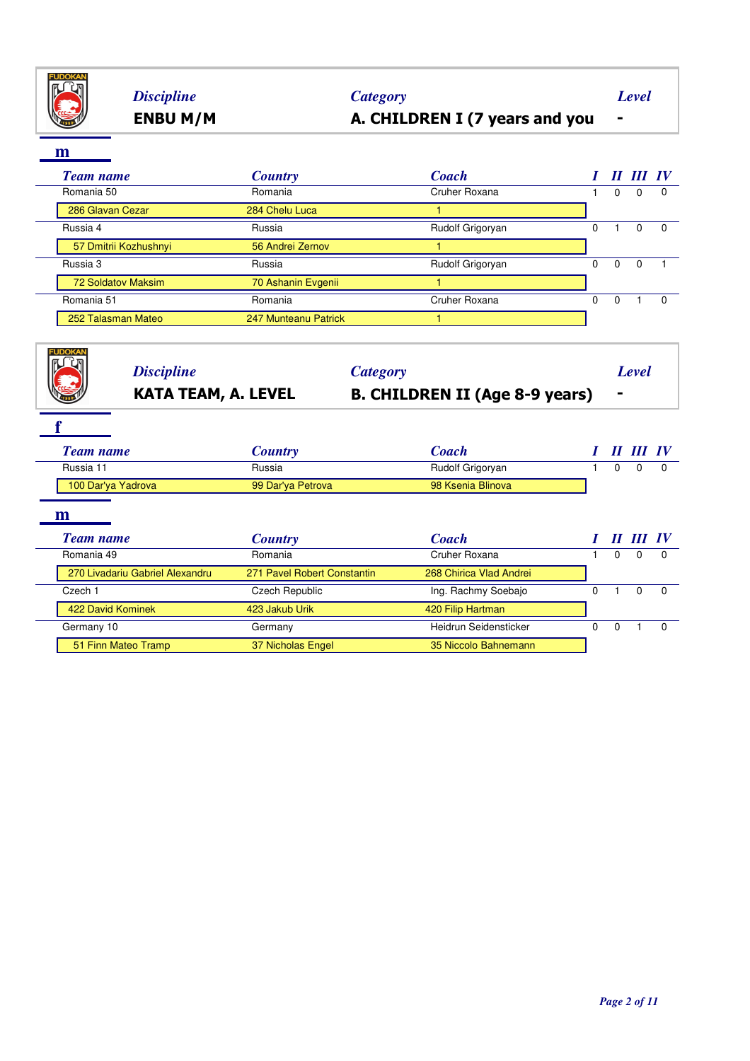

# **ENBU M/M A. CHILDREN I (7 years and you -** *Discipline Category Level*

| <b>Team name</b>      | <b>Country</b>       | <b>Coach</b>     |               | Н        | $\boldsymbol{H}$ | $\bm{IV}$ |
|-----------------------|----------------------|------------------|---------------|----------|------------------|-----------|
| Romania 50            | Romania              | Cruher Roxana    |               | 0        |                  | 0         |
| 286 Glavan Cezar      | 284 Chelu Luca       |                  |               |          |                  |           |
| Russia 4              | Russia               | Rudolf Grigoryan | 0             |          |                  | $\Omega$  |
| 57 Dmitrii Kozhushnyi | 56 Andrei Zernov     |                  |               |          |                  |           |
| Russia 3              | Russia               | Rudolf Grigoryan | 0             | $\Omega$ | $\Omega$         |           |
| 72 Soldatov Maksim    | 70 Ashanin Evgenii   |                  | $\Omega$<br>0 |          |                  |           |
| Romania 51            | Romania              | Cruher Roxana    |               |          |                  | $\Omega$  |
| 252 Talasman Mateo    | 247 Munteanu Patrick |                  |               |          |                  |           |

| <b>Discipline</b><br><b>KATA TEAM, A. LEVEL</b> |                             | <b>Category</b><br><b>B. CHILDREN II (Age 8-9 years)</b> | $\blacksquare$                                                                              |              |              |
|-------------------------------------------------|-----------------------------|----------------------------------------------------------|---------------------------------------------------------------------------------------------|--------------|--------------|
| <b>Team name</b>                                | <b>Country</b>              | <b>Coach</b>                                             |                                                                                             | $III$ $IV$   |              |
| Russia 11                                       | Russia                      | Rudolf Grigoryan                                         | Level<br>$\boldsymbol{H}$<br>$\Omega$<br>II III IV<br>$\Omega$<br>$\Omega$<br>0<br>$\Omega$ | <sup>0</sup> | <sup>0</sup> |
| 100 Dar'ya Yadrova                              | 99 Dar'ya Petrova           | 98 Ksenia Blinova                                        |                                                                                             |              |              |
| m                                               |                             |                                                          |                                                                                             |              |              |
|                                                 | <b>Country</b>              | <b>Coach</b>                                             |                                                                                             |              |              |
|                                                 | Romania                     | Cruher Roxana                                            |                                                                                             | $\Omega$     | <sup>0</sup> |
| 270 Livadariu Gabriel Alexandru                 | 271 Pavel Robert Constantin | 268 Chirica Vlad Andrei                                  |                                                                                             |              |              |
| <b>Team name</b><br>Romania 49<br>Czech 1       | Czech Republic              | Ing. Rachmy Soebajo                                      |                                                                                             | $\Omega$     | $\Omega$     |
| 422 David Kominek                               | 423 Jakub Urik              | 420 Filip Hartman                                        |                                                                                             |              |              |
| Germany 10                                      | Germany                     | Heidrun Seidensticker                                    |                                                                                             |              | $\Omega$     |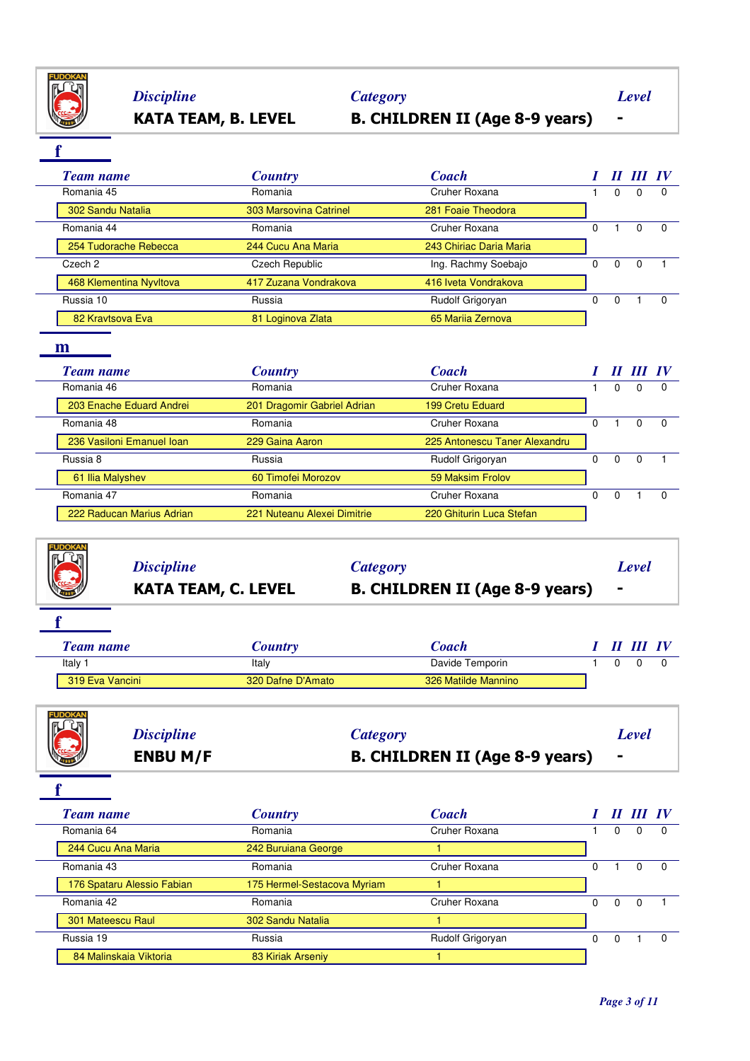

# *Discipline Category Level*

# **KATA TEAM, B. LEVEL B. CHILDREN II (Age 8-9 years) -**

**f**

| <b>Team name</b>        | <b>Country</b>                                                                 | <b>Coach</b>         |          | "        |          |  |
|-------------------------|--------------------------------------------------------------------------------|----------------------|----------|----------|----------|--|
| Romania 45              | Romania                                                                        | Cruher Roxana        |          | 0        | $\Omega$ |  |
| 302 Sandu Natalia       | 303 Marsovina Catrinel                                                         | 281 Foaie Theodora   |          |          |          |  |
| Romania 44              | Cruher Roxana<br>Romania<br>0<br>243 Chiriac Daria Maria<br>244 Cucu Ana Maria |                      | $\Omega$ | $\Omega$ |          |  |
| 254 Tudorache Rebecca   |                                                                                |                      |          |          |          |  |
| Czech 2                 | Czech Republic                                                                 | Ing. Rachmy Soebajo  | 0        | 0        | $\Omega$ |  |
| 468 Klementina Nyvltova | 417 Zuzana Vondrakova                                                          | 416 Iveta Vondrakova |          |          |          |  |
| Russia 10               | Russia                                                                         | Rudolf Grigoryan     | 0        | $\Omega$ |          |  |
| 82 Kravtsova Eva        | 81 Loginova Zlata                                                              | 65 Marija Zernova    |          |          |          |  |

### **m**

|  | <b>Team name</b>          | <b>Country</b>                                                                                                                                     | <b>Coach</b>                  | $\boldsymbol{\mathit{II}}$ | III IV       |     |
|--|---------------------------|----------------------------------------------------------------------------------------------------------------------------------------------------|-------------------------------|----------------------------|--------------|-----|
|  | Romania 46                | Romania                                                                                                                                            | Cruher Roxana                 | 0                          | 0            |     |
|  | 203 Enache Eduard Andrei  | 201 Dragomir Gabriel Adrian                                                                                                                        | 199 Cretu Eduard              |                            |              |     |
|  | Romania 48                | Romania                                                                                                                                            | Cruher Roxana                 |                            | <sup>n</sup> | - 0 |
|  | 236 Vasiloni Emanuel Ioan | 229 Gaina Aaron<br>Russia<br>Rudolf Grigoryan<br>59 Maksim Frolov<br>60 Timofei Morozov<br>Romania<br>Cruher Roxana<br>221 Nuteanu Alexei Dimitrie | 225 Antonescu Taner Alexandru |                            |              |     |
|  | Russia 8                  |                                                                                                                                                    |                               | $\Omega$                   | <sup>0</sup> |     |
|  | 61 Ilia Malyshev          |                                                                                                                                                    |                               |                            |              |     |
|  | Romania 47                |                                                                                                                                                    |                               | 0                          |              |     |
|  | 222 Raducan Marius Adrian |                                                                                                                                                    | 220 Ghiturin Luca Stefan      |                            |              |     |

| <b>FUDOKAN</b>    |                            |                                       |       |
|-------------------|----------------------------|---------------------------------------|-------|
|                   | <b>Discipline</b>          | <b>Category</b>                       | Level |
| <b>ACCESSIBLE</b> | <b>KATA TEAM, C. LEVEL</b> | <b>B. CHILDREN II (Age 8-9 years)</b> |       |

| <b><i>Feam name</i></b> | Country           | <i>Coach</i>        |  | 11 III |  |
|-------------------------|-------------------|---------------------|--|--------|--|
| Italy 1                 | Italy             | Davide Temporin     |  |        |  |
| 319 Eva Vancini         | 320 Dafne D'Amato | 326 Matilde Mannino |  |        |  |
|                         |                   |                     |  |        |  |

**f**

|      | <b>ENBU M/F</b>   | <b>B. CHILDREN II (Age 8-9 years)</b> |       |
|------|-------------------|---------------------------------------|-------|
| N.C. | <b>Discipline</b> | Category                              | Level |

**f**

| <b>Team name</b>           | <b>Country</b>              | <b>Coach</b>     |   |                      |          |          |
|----------------------------|-----------------------------|------------------|---|----------------------|----------|----------|
| Romania 64                 | Romania                     | Cruher Roxana    |   | $\Omega$             |          |          |
| 244 Cucu Ana Maria         | 242 Buruiana George         |                  |   |                      |          |          |
| Romania 43                 | Romania                     | Cruher Roxana    | 0 |                      |          | $\Omega$ |
| 176 Spataru Alessio Fabian | 175 Hermel-Sestacova Myriam |                  |   |                      |          |          |
| Romania 42                 | Romania                     | Cruher Roxana    | 0 | $\Omega$<br>$\Omega$ | $\Omega$ |          |
| 301 Mateescu Raul          | 302 Sandu Natalia           |                  |   |                      |          |          |
| Russia 19                  | Russia                      | Rudolf Grigoryan | 0 |                      |          |          |
| 84 Malinskaia Viktoria     | 83 Kiriak Arseniy           |                  |   |                      |          |          |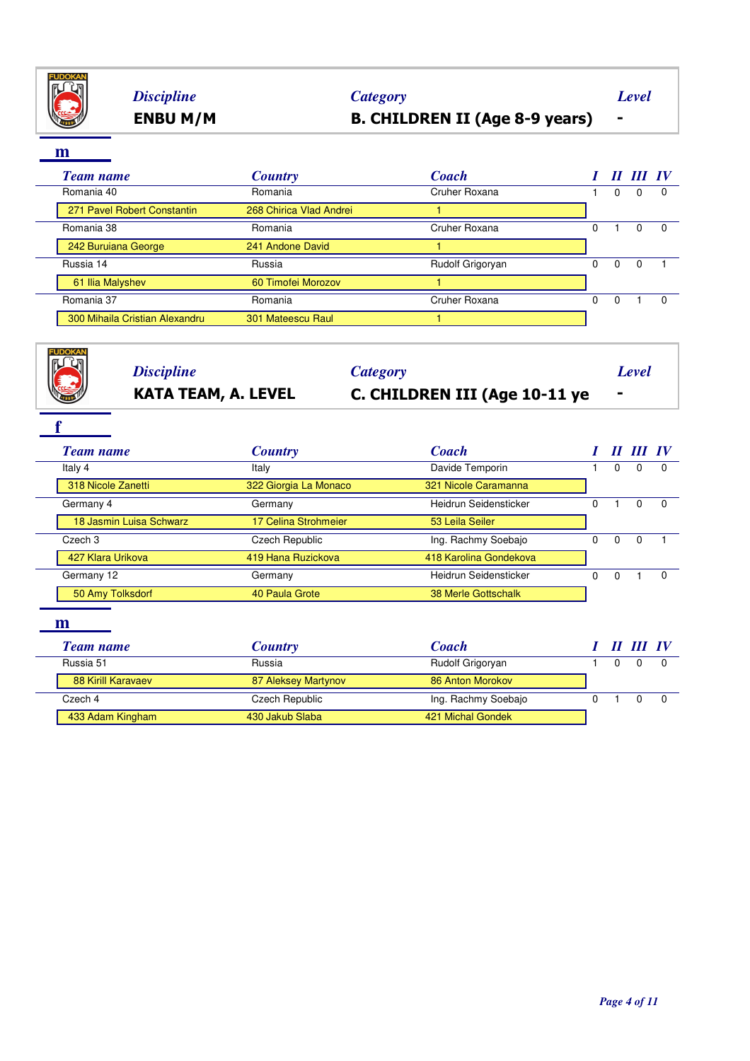

# **ENBU M/M B. CHILDREN II (Age 8-9 years) -** *Discipline Category Level*

**m**

| <b>Team name</b>               | <b>Country</b>          | <b>Coach</b>     |   | 11 |          | $\bm{I}$ |
|--------------------------------|-------------------------|------------------|---|----|----------|----------|
| Romania 40                     | Romania                 | Cruher Roxana    |   | 0  | 0        |          |
| 271 Pavel Robert Constantin    | 268 Chirica Vlad Andrei |                  |   |    |          |          |
| Romania 38                     | Romania                 | Cruher Roxana    | 0 |    | 0        |          |
| 242 Buruiana George            | 241 Andone David        |                  |   |    |          |          |
| Russia 14                      | Russia                  | Rudolf Grigoryan | 0 | 0  | $\Omega$ |          |
| 61 Ilia Malyshev               | 60 Timofei Morozov      |                  |   |    |          |          |
| Romania 37                     | Romania                 | Cruher Roxana    | o | 0  |          |          |
| 300 Mihaila Cristian Alexandru | 301 Mateescu Raul       |                  |   |    |          |          |

| FI IDOKAI<br><b>Discipline</b> |                            | <b>Category</b>               |                                                                                                                                                               |                                        |          |          |
|--------------------------------|----------------------------|-------------------------------|---------------------------------------------------------------------------------------------------------------------------------------------------------------|----------------------------------------|----------|----------|
|                                | <b>KATA TEAM, A. LEVEL</b> | C. CHILDREN III (Age 10-11 ye |                                                                                                                                                               |                                        |          |          |
|                                |                            |                               |                                                                                                                                                               |                                        |          |          |
| <b>Team name</b>               | <b>Country</b>             | <b>Coach</b>                  |                                                                                                                                                               |                                        |          |          |
| Italy 4                        | Italy                      | Davide Temporin               | <b>Level</b><br>$\Omega$<br>$\Omega$<br>0<br>$\Omega$<br>$\Omega$<br>$\Omega$<br>$\Omega$<br>$\Omega$<br>$\Omega$<br>$\boldsymbol{H}$<br>$\Omega$<br>$\Omega$ |                                        | $\Omega$ |          |
| 318 Nicole Zanetti             | 322 Giorgia La Monaco      | 321 Nicole Caramanna          |                                                                                                                                                               |                                        |          |          |
| Germany 4                      | Germany                    | Heidrun Seidensticker         |                                                                                                                                                               |                                        |          | $\Omega$ |
| 18 Jasmin Luisa Schwarz        | 17 Celina Strohmeier       | 53 Leila Seiler               |                                                                                                                                                               |                                        |          |          |
| Czech <sub>3</sub>             | Czech Republic             | Ing. Rachmy Soebajo           |                                                                                                                                                               |                                        |          |          |
| 427 Klara Urikova              | 419 Hana Ruzickova         | 418 Karolina Gondekova        |                                                                                                                                                               |                                        |          |          |
| Germany 12                     | Germany                    | Heidrun Seidensticker         |                                                                                                                                                               |                                        |          | $\Omega$ |
| 50 Amy Tolksdorf               | 40 Paula Grote             | <b>38 Merle Gottschalk</b>    |                                                                                                                                                               |                                        |          |          |
| m                              |                            |                               |                                                                                                                                                               |                                        |          |          |
| <b>Team name</b>               | <b>Country</b>             | <b>Coach</b>                  |                                                                                                                                                               |                                        |          |          |
| Russia 51                      | Russia                     | Rudolf Grigoryan              |                                                                                                                                                               | II III IV<br>$III$ IV<br>0<br>$\Omega$ | $\Omega$ |          |
| 88 Kirill Karavaev             | 87 Aleksey Martynov        | 86 Anton Morokov              |                                                                                                                                                               |                                        |          |          |
| Czech 4                        | Czech Republic             | Ing. Rachmy Soebajo           |                                                                                                                                                               |                                        |          | $\Omega$ |
| 433 Adam Kingham               | 430 Jakub Slaba            | 421 Michal Gondek             |                                                                                                                                                               |                                        |          |          |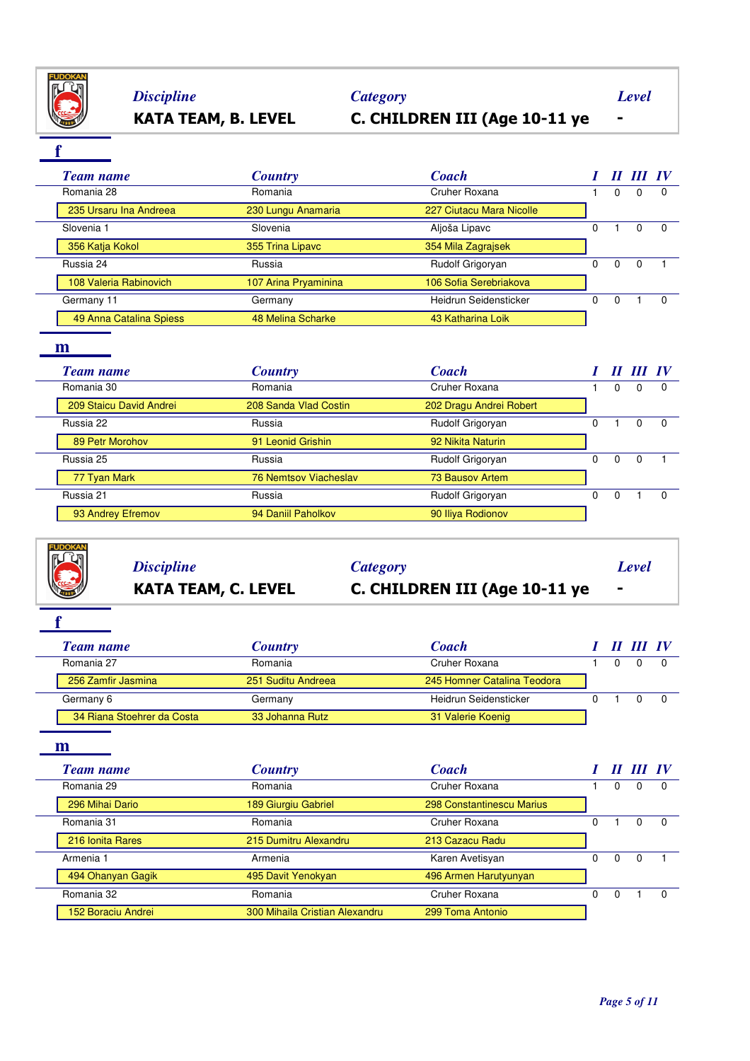

# **KATA TEAM, B. LEVEL C. CHILDREN III (Age 10-11 ye -** *Discipline Category Level*

**f**

|  | Team name               | <b>Country</b>       | <b>Coach</b>             |   | 11 | III IV   |          |
|--|-------------------------|----------------------|--------------------------|---|----|----------|----------|
|  | Romania 28              | Romania              | Cruher Roxana            |   | 0  | 0        | $\Omega$ |
|  | 235 Ursaru Ina Andreea  | 230 Lungu Anamaria   | 227 Ciutacu Mara Nicolle |   |    |          |          |
|  | Slovenia 1              | Slovenia             | Aljoša Lipavc            | 0 |    | 0        | $\Omega$ |
|  | 356 Katja Kokol         | 355 Trina Lipavc     | 354 Mila Zagrajsek       |   |    |          |          |
|  | Russia 24               | Russia               | Rudolf Grigoryan         | 0 | 0  | $\Omega$ |          |
|  | 108 Valeria Rabinovich  | 107 Arina Pryaminina | 106 Sofia Serebriakova   |   |    |          |          |
|  | Germany 11              | Germany              | Heidrun Seidensticker    | 0 | 0  |          |          |
|  | 49 Anna Catalina Spiess | 48 Melina Scharke    | 43 Katharina Loik        |   |    |          |          |

### **m**

| <b>Team name</b>        | <b>Country</b>        | <b>Coach</b>            |    | П        | $III$ IV |          |
|-------------------------|-----------------------|-------------------------|----|----------|----------|----------|
| Romania 30              | Romania               | Cruher Roxana           |    | 0        | 0        | 0        |
| 209 Staicu David Andrei | 208 Sanda Vlad Costin | 202 Dragu Andrei Robert |    |          |          |          |
| Russia 22               | Russia                | Rudolf Grigoryan        | 0  |          | 0        | - 0      |
| 89 Petr Morohov         | 91 Leonid Grishin     | 92 Nikita Naturin       |    |          |          |          |
| Russia 25               | Russia                | Rudolf Grigoryan        | n. | $\Omega$ | $\Omega$ |          |
| 77 Tyan Mark            | 76 Nemtsov Viacheslav | 73 Bausov Artem         |    |          |          |          |
| Russia 21               | Russia                | Rudolf Grigoryan        | 0  | $\Omega$ |          | $\Omega$ |
| 93 Andrey Efremov       | 94 Daniil Paholkov    | 90 Iliya Rodionov       |    |          |          |          |

| <b>THE READ PROPERTY</b> | <b>Discipline</b>          |                               | Level |
|--------------------------|----------------------------|-------------------------------|-------|
|                          |                            | Category                      |       |
|                          | <b>KATA TEAM, C. LEVEL</b> | C. CHILDREN III (Age 10-11 ye | . .   |

**f**

| Team name                  | <b>Country</b>     | <b>Coach</b>                |  | II III IV |  |
|----------------------------|--------------------|-----------------------------|--|-----------|--|
| Romania 27                 | Romania            | Cruher Roxana               |  |           |  |
| 256 Zamfir Jasmina         | 251 Suditu Andreea | 245 Homner Catalina Teodora |  |           |  |
| Germany 6                  | Germany            | Heidrun Seidensticker       |  |           |  |
| 34 Riana Stoehrer da Costa | 33 Johanna Rutz    | 31 Valerie Koenig           |  |           |  |

|  | Team name          | <b>Country</b>                 | <b>Coach</b>              |   |   |   |          |
|--|--------------------|--------------------------------|---------------------------|---|---|---|----------|
|  | Romania 29         | Romania                        | Cruher Roxana             |   |   | 0 |          |
|  | 296 Mihai Dario    | 189 Giurgiu Gabriel            | 298 Constantinescu Marius |   |   |   |          |
|  | Romania 31         | Romania                        | Cruher Roxana             |   |   | 0 |          |
|  | 216 Ionita Rares   | 215 Dumitru Alexandru          | 213 Cazacu Radu           |   |   |   |          |
|  | Armenia 1          | Armenia                        | Karen Avetisyan           | n | 0 | 0 |          |
|  | 494 Ohanyan Gagik  | 495 Davit Yenokyan             | 496 Armen Harutyunyan     |   |   |   |          |
|  | Romania 32         | Romania                        | Cruher Roxana             |   |   |   | $\Omega$ |
|  | 152 Boraciu Andrei | 300 Mihaila Cristian Alexandru | 299 Toma Antonio          |   |   |   |          |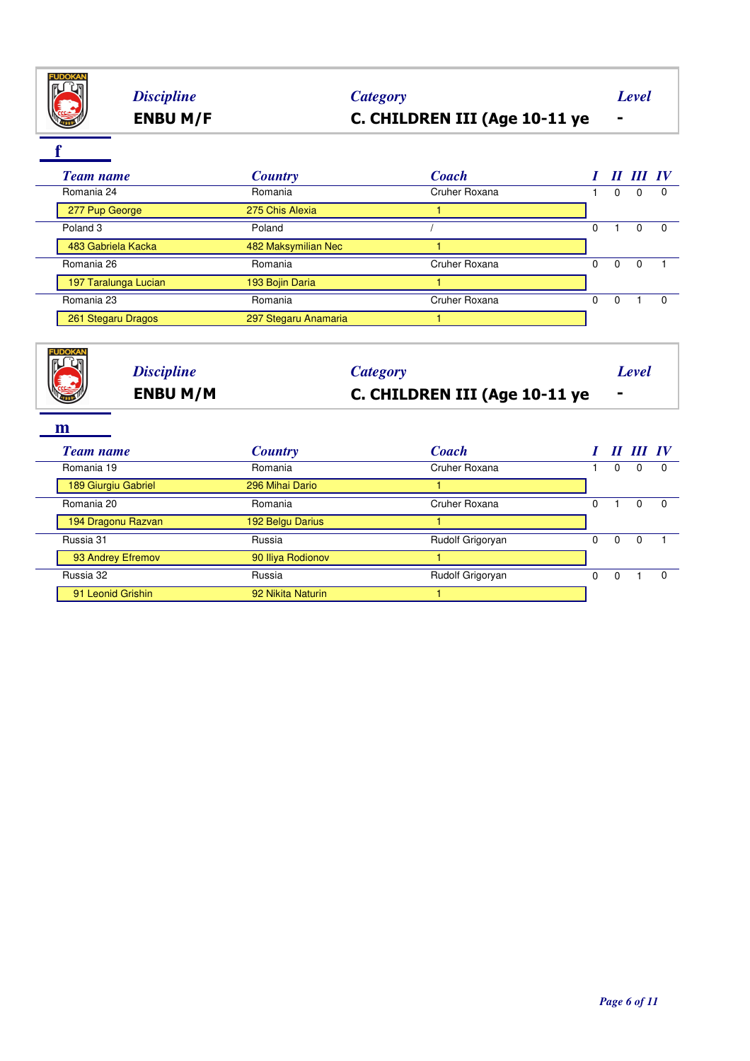

## **ENBU M/F C. CHILDREN III (Age 10-11 ye -** *Discipline Category Level*

**f**

**FUDOKA** 

|  | <b>Team name</b>     | <b>Country</b>       | <b>Coach</b>  |   |          | II III IV |          |
|--|----------------------|----------------------|---------------|---|----------|-----------|----------|
|  | Romania 24           | Romania              | Cruher Roxana |   | 0        | $\Omega$  | $\Omega$ |
|  | 277 Pup George       | 275 Chis Alexia      |               |   |          |           |          |
|  | Poland <sub>3</sub>  | Poland               |               | 0 |          |           | $\Omega$ |
|  | 483 Gabriela Kacka   | 482 Maksymilian Nec  |               |   |          |           |          |
|  | Romania 26           | Romania              | Cruher Roxana | 0 | $\Omega$ | 0         |          |
|  | 197 Taralunga Lucian | 193 Bojin Daria      |               |   |          |           |          |
|  | Romania 23           | Romania              | Cruher Roxana | 0 | $\Omega$ |           | $\Omega$ |
|  | 261 Stegaru Dragos   | 297 Stegaru Anamaria |               |   |          |           |          |
|  |                      |                      |               |   |          |           |          |



| Romania 19          | Romania           | Cruher Roxana    |   |   |  |
|---------------------|-------------------|------------------|---|---|--|
| 189 Giurgiu Gabriel | 296 Mihai Dario   |                  |   |   |  |
| Romania 20          | Romania           | Cruher Roxana    |   |   |  |
| 194 Dragonu Razvan  | 192 Belgu Darius  |                  |   |   |  |
| Russia 31           | Russia            | Rudolf Grigoryan | 0 | 0 |  |
| 93 Andrey Efremov   | 90 Iliya Rodionov |                  |   |   |  |
| Russia 32           | Russia            | Rudolf Grigoryan |   |   |  |
| 91 Leonid Grishin   | 92 Nikita Naturin |                  |   |   |  |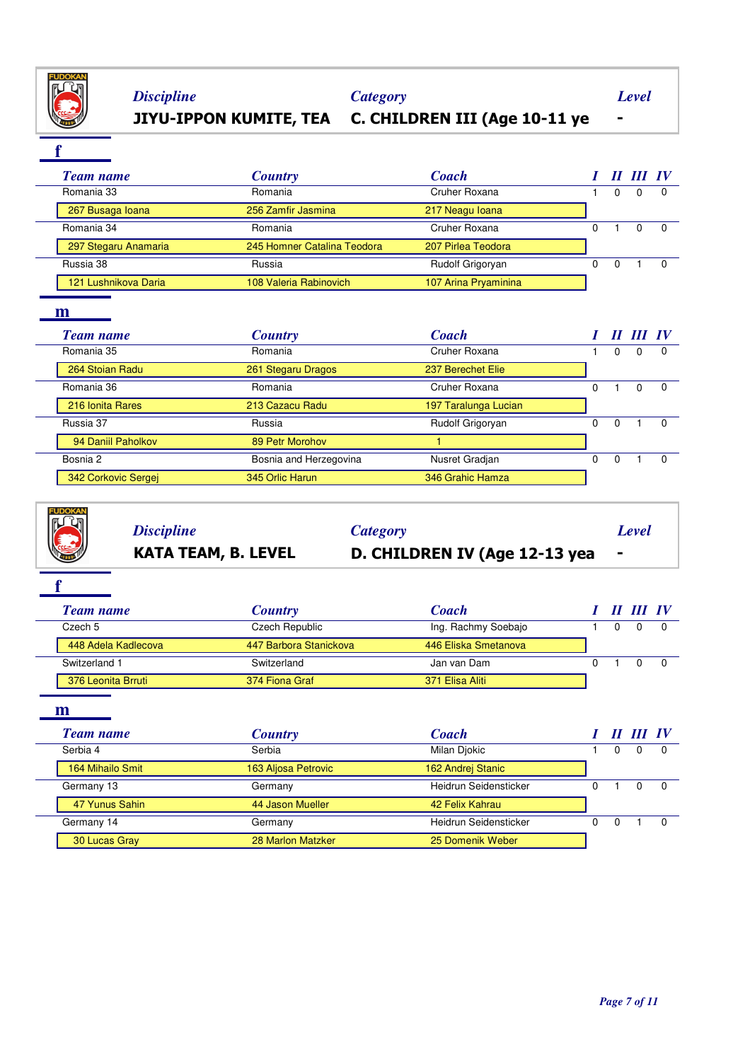

**f**

# **JIYU-IPPON KUMITE, TEA C. CHILDREN III (Age 10-11 ye -** *Discipline Category Level*

| <b>Team name</b>     | <b>Country</b>              | <b>Coach</b>         |  | 11 111 IV |          |
|----------------------|-----------------------------|----------------------|--|-----------|----------|
| Romania 33           | Romania                     | Cruher Roxana        |  | 0         | $\Omega$ |
| 267 Busaga Ioana     | 256 Zamfir Jasmina          | 217 Neagu Ioana      |  |           |          |
| Romania 34           | Romania                     | Cruher Roxana        |  |           |          |
| 297 Stegaru Anamaria | 245 Homner Catalina Teodora | 207 Pirlea Teodora   |  |           |          |
| Russia 38            | Russia                      | Rudolf Grigoryan     |  |           | $\Omega$ |
| 121 Lushnikova Daria | 108 Valeria Rabinovich      | 107 Arina Pryaminina |  |           |          |

### **m**

|  | <b>Team name</b>    | <b>Country</b>         | <b>Coach</b>         |   | П | $III$ IV |  |
|--|---------------------|------------------------|----------------------|---|---|----------|--|
|  | Romania 35          | Romania                | Cruher Roxana        |   | 0 | 0        |  |
|  | 264 Stoian Radu     | 261 Stegaru Dragos     | 237 Berechet Elie    |   |   |          |  |
|  | Romania 36          | Romania                | Cruher Roxana        |   |   |          |  |
|  | 216 Ionita Rares    | 213 Cazacu Radu        | 197 Taralunga Lucian |   |   |          |  |
|  | Russia 37           | Russia                 | Rudolf Grigoryan     | 0 | 0 |          |  |
|  | 94 Daniil Paholkov  | 89 Petr Morohov        |                      |   |   |          |  |
|  | Bosnia 2            | Bosnia and Herzegovina | Nusret Gradjan       | 0 | 0 |          |  |
|  | 342 Corkovic Sergej | 345 Orlic Harun        | 346 Grahic Hamza     |   |   |          |  |

*Discipline Category Level*

# **KATA TEAM, B. LEVEL D. CHILDREN IV (Age 12-13 yea -**

**f**

|  | Team name           | <b>Country</b>         | <b>Coach</b>         |  | II III IV |  |
|--|---------------------|------------------------|----------------------|--|-----------|--|
|  | Czech 5             | Czech Republic         | Ing. Rachmy Soebajo  |  |           |  |
|  | 448 Adela Kadlecova | 447 Barbora Stanickova | 446 Eliska Smetanova |  |           |  |
|  | Switzerland 1       | Switzerland            | Jan van Dam          |  |           |  |
|  | 376 Leonita Brruti  | 374 Fiona Graf         | 371 Elisa Aliti      |  |           |  |

|  | <b>Team name</b> | <b>Country</b>      | <b>Coach</b>          |  | $III$ IV |  |
|--|------------------|---------------------|-----------------------|--|----------|--|
|  | Serbia 4         | Serbia              | Milan Diokic          |  |          |  |
|  | 164 Mihailo Smit | 163 Aljosa Petrovic | 162 Andrej Stanic     |  |          |  |
|  | Germany 13       | Germany             | Heidrun Seidensticker |  | 0        |  |
|  | 47 Yunus Sahin   | 44 Jason Mueller    | 42 Felix Kahrau       |  |          |  |
|  | Germany 14       | Germany             | Heidrun Seidensticker |  |          |  |
|  | 30 Lucas Gray    | 28 Marlon Matzker   | 25 Domenik Weber      |  |          |  |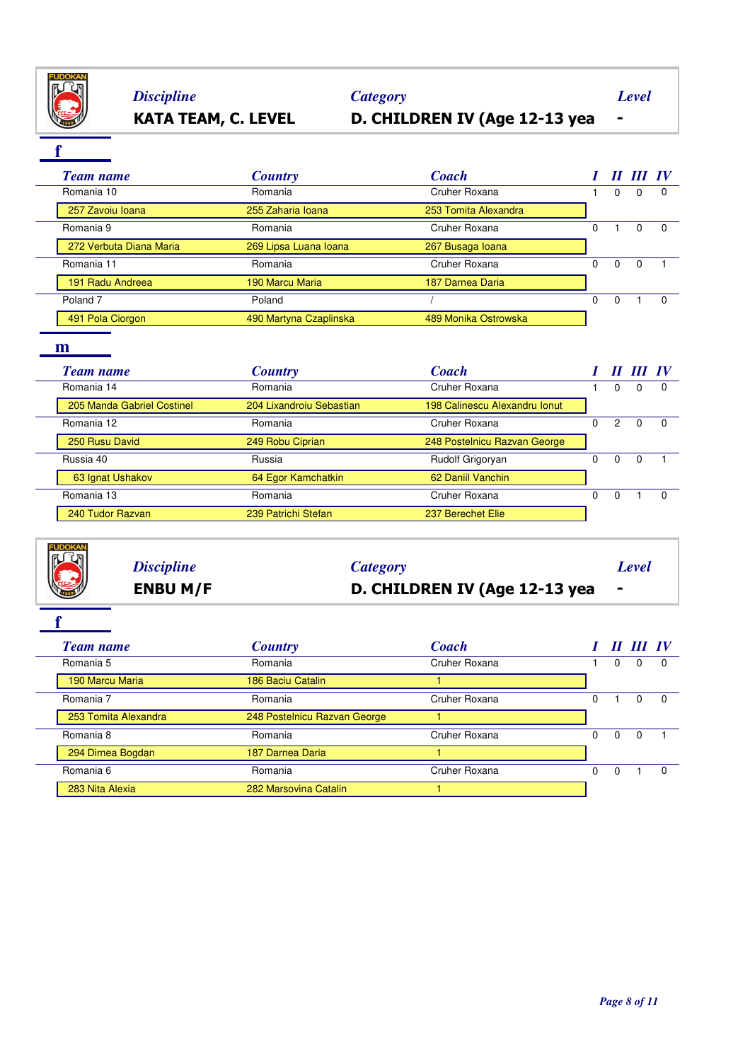

# **KATA TEAM, C. LEVEL D. CHILDREN IV (Age 12-13 yea -** *Discipline Category Level*

**f**

|  | <b>Team name</b>        | <b>Country</b>         | <b>Coach</b>         |   |              | III IV |          |
|--|-------------------------|------------------------|----------------------|---|--------------|--------|----------|
|  | Romania 10              | Romania                | Cruher Roxana        |   | 0            |        | $\Omega$ |
|  | 257 Zavoiu Ioana        | 255 Zaharia Ioana      | 253 Tomita Alexandra |   |              |        |          |
|  | Romania 9               | Romania                | Cruher Roxana        |   |              |        |          |
|  | 272 Verbuta Diana Maria | 269 Lipsa Luana Ioana  | 267 Busaga Ioana     |   |              |        |          |
|  | Romania 11              | Romania                | Cruher Roxana        | 0 | <sup>0</sup> |        |          |
|  | 191 Radu Andreea        | 190 Marcu Maria        | 187 Darnea Daria     |   |              |        |          |
|  | Poland <sub>7</sub>     | Poland                 |                      | 0 |              |        |          |
|  | 491 Pola Ciorgon        | 490 Martyna Czaplinska | 489 Monika Ostrowska |   |              |        |          |

### **m**

| <b>Team name</b>           | <b>Country</b>           | <b>Coach</b>                  |    |   | $III$ IV |          |
|----------------------------|--------------------------|-------------------------------|----|---|----------|----------|
| Romania 14                 | Romania                  | Cruher Roxana                 |    | 0 | 0        |          |
| 205 Manda Gabriel Costinel | 204 Lixandroiu Sebastian | 198 Calinescu Alexandru Ionut |    |   |          |          |
| Romania 12                 | Romania                  | Cruher Roxana                 | 0  | 2 | 0        | $\Omega$ |
| 250 Rusu David             | 249 Robu Ciprian         | 248 Postelnicu Razvan George  |    |   |          |          |
| Russia 40                  | Russia                   | Rudolf Grigoryan              | O. | 0 | 0        |          |
| 63 Ignat Ushakov           | 64 Egor Kamchatkin       | 62 Daniil Vanchin             |    |   |          |          |
| Romania 13                 | Romania                  | Cruher Roxana                 | 0  | 0 |          |          |
| 240 Tudor Razvan           | 239 Patrichi Stefan      | 237 Berechet Elie             |    |   |          |          |



# **ENBU M/F D. CHILDREN IV (Age 12-13 yea -** *Discipline Category Level*

**f**

| Team name            | <b>Country</b>               | <b>Coach</b>  |              |   |   | $I\mathbf{V}$ |
|----------------------|------------------------------|---------------|--------------|---|---|---------------|
| Romania 5            | Romania                      | Cruher Roxana |              | 0 |   |               |
| 190 Marcu Maria      | 186 Baciu Catalin            |               |              |   |   |               |
| Romania 7            | Romania                      | Cruher Roxana |              |   |   |               |
| 253 Tomita Alexandra | 248 Postelnicu Razvan George |               |              |   |   |               |
| Romania 8            | Romania                      | Cruher Roxana | <sup>0</sup> | 0 | 0 |               |
| 294 Dirnea Bogdan    | 187 Darnea Daria             |               |              |   |   |               |
| Romania 6            | Romania                      | Cruher Roxana |              | 0 |   | $\Omega$      |
| 283 Nita Alexia      | 282 Marsovina Catalin        |               |              |   |   |               |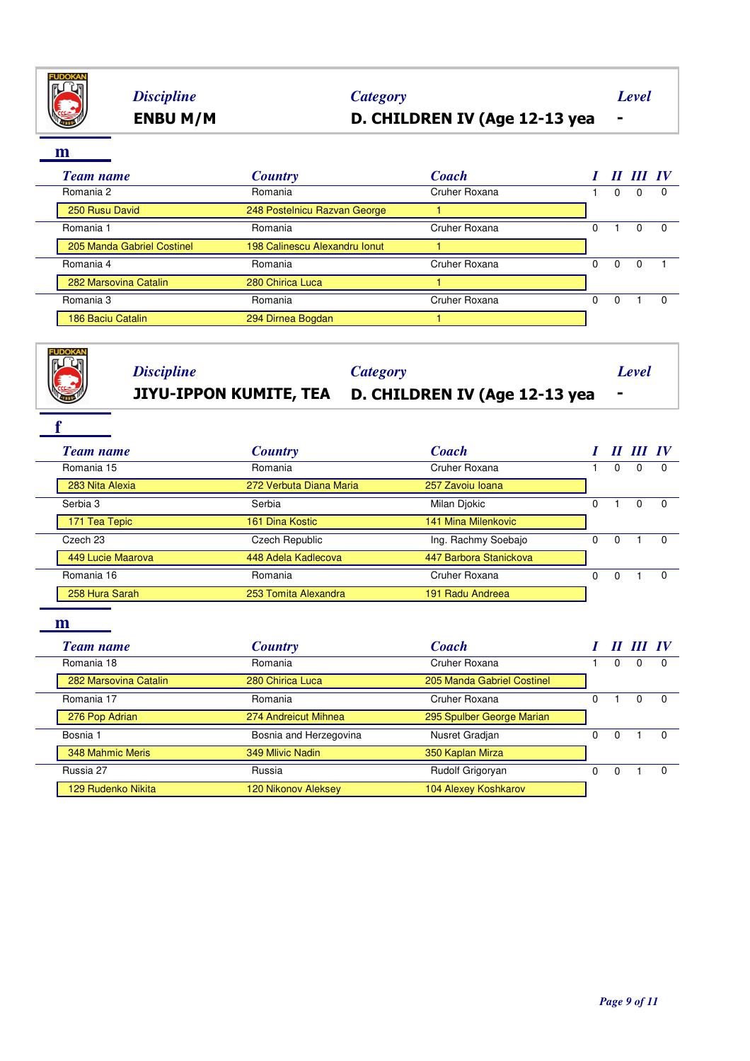

# **ENBU M/M D. CHILDREN IV (Age 12-13 yea -** *Discipline Category Level*

**m**

 $\overline{a}$ 

| ш                          |                               |               |   |          |           |              |
|----------------------------|-------------------------------|---------------|---|----------|-----------|--------------|
| <b>Team name</b>           | <b>Country</b>                | <b>Coach</b>  |   |          | II III IV |              |
| Romania 2                  | Romania                       | Cruher Roxana |   | 0        | $\Omega$  | $\Omega$     |
| 250 Rusu David             | 248 Postelnicu Razvan George  |               |   |          |           |              |
| Romania 1                  | Romania                       | Cruher Roxana | 0 |          | $\Omega$  | 0            |
| 205 Manda Gabriel Costinel | 198 Calinescu Alexandru Ionut |               |   |          |           |              |
| Romania 4                  | Romania                       | Cruher Roxana | 0 | $\Omega$ | 0         |              |
| 282 Marsovina Catalin      | 280 Chirica Luca              |               |   |          |           |              |
| Romania 3                  | Romania                       | Cruher Roxana | 0 | $\Omega$ |           | <sup>0</sup> |
| 186 Baciu Catalin          | 294 Dirnea Bogdan             |               |   |          |           |              |
|                            |                               |               |   |          |           |              |

| <b>FUDOKA</b><br><b>Discipline</b> | <b>Category</b><br>JIYU-IPPON KUMITE, TEA | D. CHILDREN IV (Age 12-13 yea |          |                  | Level        |              |
|------------------------------------|-------------------------------------------|-------------------------------|----------|------------------|--------------|--------------|
| <b>Team name</b>                   | <b>Country</b>                            | <b>Coach</b>                  |          | $\boldsymbol{H}$ | III IV       |              |
| Romania 15                         | Romania                                   | Cruher Roxana                 | 1        | $\Omega$         | $\Omega$     | <sup>0</sup> |
| 283 Nita Alexia                    | 272 Verbuta Diana Maria                   | 257 Zavoiu Ioana              |          |                  |              |              |
| Serbia 3                           | Serbia                                    | Milan Djokic                  |          | $\mathbf{1}$     | $\mathbf 0$  | $\Omega$     |
| 171 Tea Tepic                      | 161 Dina Kostic                           | 141 Mina Milenkovic           |          |                  |              |              |
| Czech 23                           | Czech Republic                            | Ing. Rachmy Soebajo           | $\Omega$ | $\mathbf 0$      | 1            | $\Omega$     |
| 449 Lucie Maarova                  | 448 Adela Kadlecova                       | 447 Barbora Stanickova        |          |                  |              |              |
| Romania 16                         | Romania                                   | Cruher Roxana                 | $\Omega$ | $\Omega$         |              | $\Omega$     |
| 258 Hura Sarah                     | 253 Tomita Alexandra                      | 191 Radu Andreea              |          |                  |              |              |
| m<br><b>Team name</b>              | <b>Country</b>                            | <b>Coach</b>                  |          |                  | II III IV    |              |
| Romania 18                         | Romania                                   | Cruher Roxana                 |          | $\Omega$         | $\Omega$     |              |
| 282 Marsovina Catalin              | 280 Chirica Luca                          | 205 Manda Gabriel Costinel    |          |                  |              |              |
| Romania 17                         | Romania                                   | Cruher Roxana                 | $\Omega$ | $\mathbf{1}$     | $\Omega$     | $\Omega$     |
| 276 Pop Adrian                     | 274 Andreicut Mihnea                      | 295 Spulber George Marian     |          |                  |              |              |
| Bosnia 1                           | Bosnia and Herzegovina                    | Nusret Gradjan                | $\Omega$ | $\Omega$         | $\mathbf{1}$ | $\Omega$     |
| 348 Mahmic Meris                   | 349 Mlivic Nadin                          | 350 Kaplan Mirza              |          |                  |              |              |
| Russia 27                          | Russia                                    | Rudolf Grigoryan              | 0        | $\Omega$         | 1            | $\Omega$     |
| 129 Rudenko Nikita                 | 120 Nikonov Aleksey                       | 104 Alexey Koshkarov          |          |                  |              |              |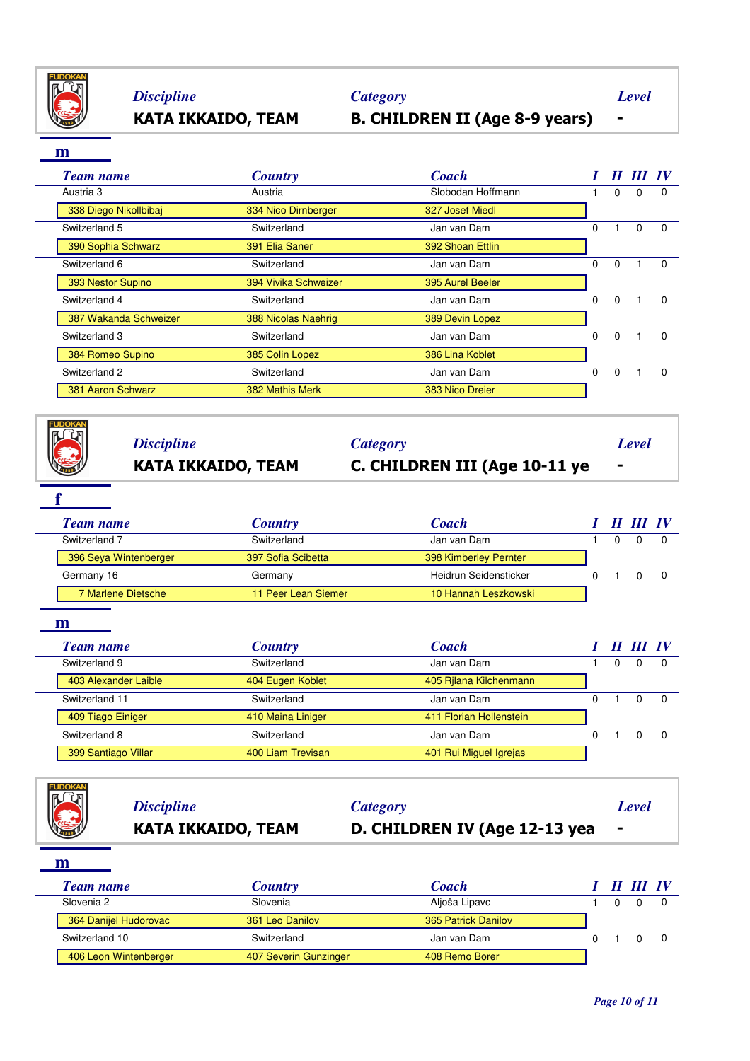

# **KATA IKKAIDO, TEAM B. CHILDREN II (Age 8-9 years) -** *Discipline Category Level*

### **m**

| <b>Team name</b>      | <b>Country</b>       | <b>Coach</b>      |          |          |   |          |
|-----------------------|----------------------|-------------------|----------|----------|---|----------|
| Austria 3             | Austria              | Slobodan Hoffmann |          | 0        | 0 | $\Omega$ |
| 338 Diego Nikollbibaj | 334 Nico Dirnberger  | 327 Josef Miedl   |          |          |   |          |
| Switzerland 5         | Switzerland          | Jan van Dam       | $\Omega$ |          | 0 | $\Omega$ |
| 390 Sophia Schwarz    | 391 Elia Saner       | 392 Shoan Ettlin  |          |          |   |          |
| Switzerland 6         | Switzerland          | Jan van Dam       | $\Omega$ | $\Omega$ |   | $\Omega$ |
| 393 Nestor Supino     | 394 Vivika Schweizer | 395 Aurel Beeler  |          |          |   |          |
| Switzerland 4         | Switzerland          | Jan van Dam       | $\Omega$ | $\Omega$ |   | $\Omega$ |
| 387 Wakanda Schweizer | 388 Nicolas Naehrig  | 389 Devin Lopez   |          |          |   |          |
| Switzerland 3         | Switzerland          | Jan van Dam       | $\Omega$ | $\Omega$ |   | $\Omega$ |
| 384 Romeo Supino      | 385 Colin Lopez      | 386 Lina Koblet   |          |          |   |          |
| Switzerland 2         | Switzerland          | Jan van Dam       | $\Omega$ | $\Omega$ |   | $\Omega$ |
| 381 Aaron Schwarz     | 382 Mathis Merk      | 383 Nico Dreier   |          |          |   |          |

|   | <b>KATA IKKAIDO, TEAM</b> | C. CHILDREN III (Age 10-11 ye |       |  |
|---|---------------------------|-------------------------------|-------|--|
| E | <b>Discipline</b>         | Category                      | Level |  |

| Team name             | <b>Country</b>      | <b>Coach</b>          |  | II III IV |  |
|-----------------------|---------------------|-----------------------|--|-----------|--|
| Switzerland 7         | Switzerland         | Jan van Dam           |  |           |  |
| 396 Seya Wintenberger | 397 Sofia Scibetta  | 398 Kimberley Pernter |  |           |  |
| Germany 16            | Germany             | Heidrun Seidensticker |  |           |  |
| 7 Marlene Dietsche    | 11 Peer Lean Siemer | 10 Hannah Leszkowski  |  |           |  |

| <b>Team name</b>     | <b>Country</b>    | <b>Coach</b>            |  | II III IV |  |
|----------------------|-------------------|-------------------------|--|-----------|--|
| Switzerland 9        | Switzerland       | Jan van Dam             |  | 0         |  |
| 403 Alexander Laible | 404 Eugen Koblet  | 405 Rilana Kilchenmann  |  |           |  |
| Switzerland 11       | Switzerland       | Jan van Dam             |  | 0         |  |
| 409 Tiago Einiger    | 410 Maina Liniger | 411 Florian Hollenstein |  |           |  |
| Switzerland 8        | Switzerland       | Jan van Dam             |  |           |  |
| 399 Santiago Villar  | 400 Liam Trevisan | 401 Rui Miguel Igrejas  |  |           |  |

|   | <b>Discipline</b><br><b>KATA IKKAIDO, TEAM</b> | <b>Category</b><br>D. CHILDREN IV (Age 12-13 yea | Level<br>$\blacksquare$ |
|---|------------------------------------------------|--------------------------------------------------|-------------------------|
| m |                                                |                                                  |                         |
|   |                                                |                                                  |                         |

| <b>Team name</b>      | <b>Country</b>        | <b>Coach</b>        |  | III IV |  |
|-----------------------|-----------------------|---------------------|--|--------|--|
| Slovenia 2            | Slovenia              | Aljoša Lipavc       |  |        |  |
| 364 Danijel Hudorovac | 361 Leo Danilov       | 365 Patrick Danilov |  |        |  |
| Switzerland 10        | Switzerland           | Jan van Dam         |  |        |  |
| 406 Leon Wintenberger | 407 Severin Gunzinger | 408 Remo Borer      |  |        |  |